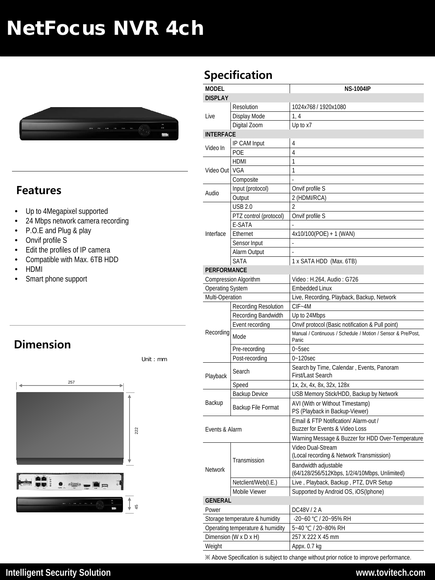# NetFocus NVR 4ch



#### **Features**

- Up to 4Megapixel supported
- 24 Mbps network camera recording
- P.O.E and Plug & play
- Onvif profile S
- Edit the profiles of IP camera
- Compatible with Max. 6TB HDD
- HDMI
- Smart phone support

## **Dimension**



Unit : mm

### **Specification**

| MODEL                                      |                        | <b>NS-1004IP</b>                                                                                                 |
|--------------------------------------------|------------------------|------------------------------------------------------------------------------------------------------------------|
| <b>DISPLAY</b>                             |                        |                                                                                                                  |
| Live                                       | Resolution             | 1024x768 / 1920x1080                                                                                             |
|                                            | Display Mode           | 1, 4                                                                                                             |
| <b>INTERFACE</b>                           | Digital Zoom           | Up to x7                                                                                                         |
| Video In                                   | IP CAM Input           | 4                                                                                                                |
|                                            | POE                    | 4                                                                                                                |
| Video Out   VGA                            | <b>HDMI</b>            | 1                                                                                                                |
|                                            |                        | 1                                                                                                                |
|                                            | Composite              |                                                                                                                  |
| Audio                                      | Input (protocol)       | Onvif profile S                                                                                                  |
|                                            | Output                 | 2 (HDMI/RCA)                                                                                                     |
| Interface                                  | <b>USB 2.0</b>         | 2                                                                                                                |
|                                            | PTZ control (protocol) | Onvif profile S                                                                                                  |
|                                            | E-SATA                 |                                                                                                                  |
|                                            | Ethernet               | 4x10/100(POE) + 1 (WAN)                                                                                          |
|                                            | Sensor Input           |                                                                                                                  |
|                                            | Alarm Output           |                                                                                                                  |
|                                            | <b>SATA</b>            | 1 x SATA HDD (Max. 6TB)                                                                                          |
| <b>PERFORMANCE</b>                         |                        |                                                                                                                  |
|                                            |                        | Video: H.264, Audio: G726                                                                                        |
| Compression Algorithm                      |                        | <b>Embedded Linux</b>                                                                                            |
| <b>Operating System</b><br>Multi-Operation |                        |                                                                                                                  |
|                                            | Recording Resolution   | Live, Recording, Playback, Backup, Network<br>$CIF - 4M$                                                         |
|                                            |                        |                                                                                                                  |
|                                            | Recording Bandwidth    | Up to 24Mbps                                                                                                     |
| Recording                                  | Event recording        | Onvif protocol (Basic notification & Pull point)<br>Manual / Continuous / Schedule / Motion / Sensor & Pre/Post. |
|                                            | Mode                   | Panic                                                                                                            |
|                                            | Pre-recording          | $0 - 5$ sec                                                                                                      |
|                                            | Post-recording         | $0 - 120$ sec                                                                                                    |
| Playback                                   | Search                 | Search by Time, Calendar, Events, Panoram<br>First/Last Search                                                   |
|                                            | Speed                  | 1x, 2x, 4x, 8x, 32x, 128x                                                                                        |
|                                            | <b>Backup Device</b>   | USB Memory Stick/HDD, Backup by Network                                                                          |
| Backup                                     | Backup File Format     | AVI (With or Without Timestamp)<br>PS (Playback in Backup-Viewer)                                                |
| Events & Alarm                             |                        | Email & FTP Notification/ Alarm-out /                                                                            |
|                                            |                        | Buzzer for Events & Video Loss                                                                                   |
|                                            |                        | Warning Message & Buzzer for HDD Over-Temperature                                                                |
| <b>Network</b>                             | Transmission           | Video Dual-Stream                                                                                                |
|                                            |                        | (Local recording & Network Transmission)                                                                         |
|                                            |                        | Bandwidth adjustable                                                                                             |
|                                            |                        | (64/128/256/512Kbps, 1/2/4/10Mbps, Unlimited)                                                                    |
|                                            | Netclient/Web(I.E.)    | Live, Playback, Backup, PTZ, DVR Setup                                                                           |
|                                            | Mobile Viewer          | Supported by Android OS, iOS(Iphone)                                                                             |
| <b>GENERAL</b>                             |                        |                                                                                                                  |
| Power                                      |                        | DC48V / 2 A                                                                                                      |
| Storage temperature & humidity             |                        | -20~60 °C / 20~95% RH                                                                                            |
| Operating temperature & humidity           |                        | 5~40 °C / 20~80% RH                                                                                              |
| Dimension (W x D x H)                      |                        | 257 X 222 X 45 mm                                                                                                |
| Weight                                     |                        | Appx. 0.7 kg                                                                                                     |
|                                            |                        |                                                                                                                  |

※ Above Specification is subject to change without prior notice to improve performance.

**Intelligent Security Solution www.tovitech.com**